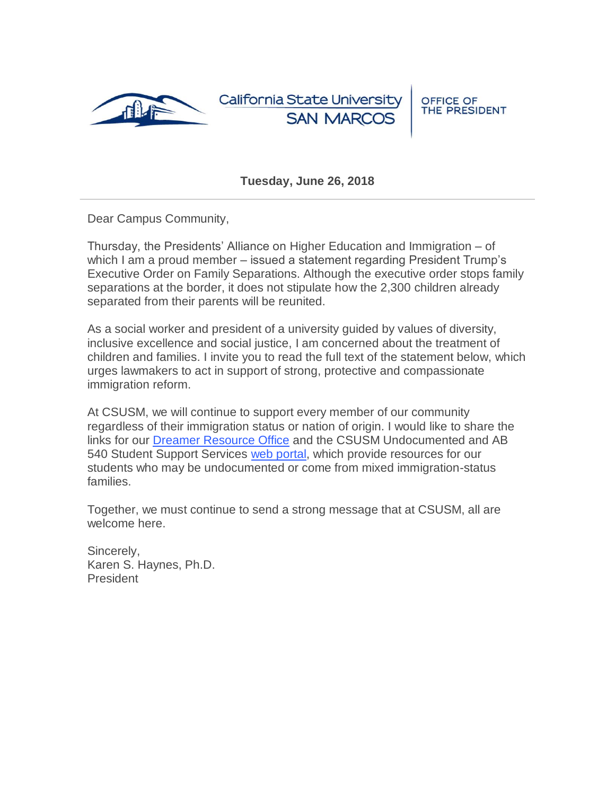

California State Universit **SAN MARC** 

**OFFICE OF** THE PRESIDENT

**Tuesday, June 26, 2018**

Dear Campus Community,

Thursday, the Presidents' Alliance on Higher Education and Immigration – of which I am a proud member – issued a statement regarding President Trump's Executive Order on Family Separations. Although the executive order stops family separations at the border, it does not stipulate how the 2,300 children already separated from their parents will be reunited.

As a social worker and president of a university guided by values of diversity, inclusive excellence and social justice, I am concerned about the treatment of children and families. I invite you to read the full text of the statement below, which urges lawmakers to act in support of strong, protective and compassionate immigration reform.

At CSUSM, we will continue to support every member of our community regardless of their immigration status or nation of origin. I would like to share the links for our [Dreamer Resource Office](https://www.csusm.edu/undocumented/dreamer/index.html) and the CSUSM Undocumented and AB 540 Student Support Services [web portal,](https://www.csusm.edu/undocumented/) which provide resources for our students who may be undocumented or come from mixed immigration-status families.

Together, we must continue to send a strong message that at CSUSM, all are welcome here.

Sincerely, Karen S. Haynes, Ph.D. President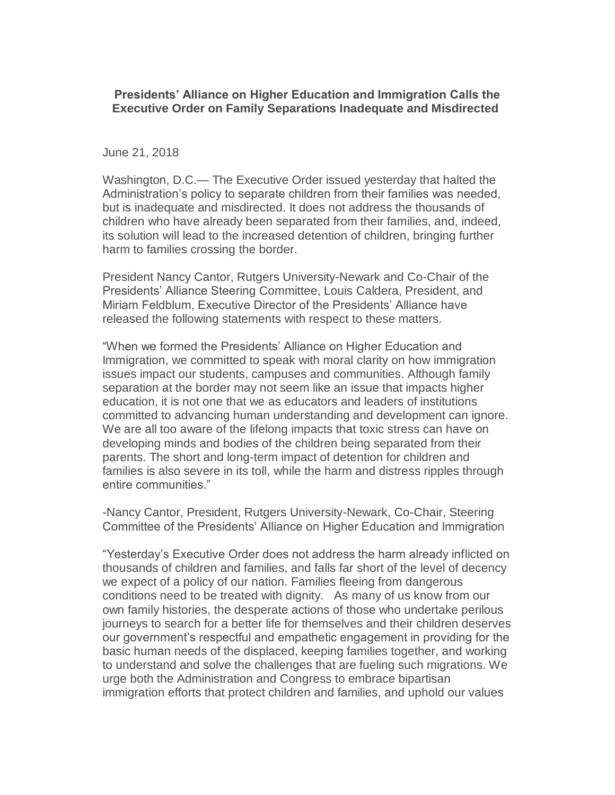## **Presidents' Alliance on Higher Education and Immigration Calls the Executive Order on Family Separations Inadequate and Misdirected**

## June 21, 2018

Washington, D.C.— The Executive Order issued yesterday that halted the Administration's policy to separate children from their families was needed, but is inadequate and misdirected. It does not address the thousands of children who have already been separated from their families, and, indeed, its solution will lead to the increased detention of children, bringing further harm to families crossing the border.

President Nancy Cantor, Rutgers University-Newark and Co-Chair of the Presidents' Alliance Steering Committee, Louis Caldera, President, and Miriam Feldblum, Executive Director of the Presidents' Alliance have released the following statements with respect to these matters.

"When we formed the Presidents' Alliance on Higher Education and Immigration, we committed to speak with moral clarity on how immigration issues impact our students, campuses and communities. Although family separation at the border may not seem like an issue that impacts higher education, it is not one that we as educators and leaders of institutions committed to advancing human understanding and development can ignore. We are all too aware of the lifelong impacts that toxic stress can have on developing minds and bodies of the children being separated from their parents. The short and long-term impact of detention for children and families is also severe in its toll, while the harm and distress ripples through entire communities."

-Nancy Cantor, President, Rutgers University-Newark, Co-Chair, Steering Committee of the Presidents' Alliance on Higher Education and Immigration

"Yesterday's Executive Order does not address the harm already inflicted on thousands of children and families, and falls far short of the level of decency we expect of a policy of our nation. Families fleeing from dangerous conditions need to be treated with dignity. As many of us know from our own family histories, the desperate actions of those who undertake perilous journeys to search for a better life for themselves and their children deserves our government's respectful and empathetic engagement in providing for the basic human needs of the displaced, keeping families together, and working to understand and solve the challenges that are fueling such migrations. We urge both the Administration and Congress to embrace bipartisan immigration efforts that protect children and families, and uphold our values